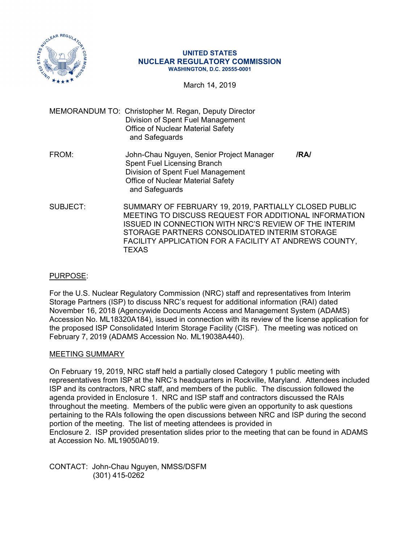

#### **UNITED STATES NUCLEAR REGULATORY COMMISSION WASHINGTON, D.C. 20555-0001**

March 14, 2019

- MEMORANDUM TO: Christopher M. Regan, Deputy Director Division of Spent Fuel Management Office of Nuclear Material Safety and Safeguards
- FROM: John-Chau Nguyen, Senior Project Manager **/RA/**  Spent Fuel Licensing Branch Division of Spent Fuel Management Office of Nuclear Material Safety and Safeguards
- SUBJECT: SUMMARY OF FEBRUARY 19, 2019, PARTIALLY CLOSED PUBLIC MEETING TO DISCUSS REQUEST FOR ADDITIONAL INFORMATION ISSUED IN CONNECTION WITH NRC'S REVIEW OF THE INTERIM STORAGE PARTNERS CONSOLIDATED INTERIM STORAGE FACILITY APPLICATION FOR A FACILITY AT ANDREWS COUNTY, **TEXAS**

## PURPOSE:

For the U.S. Nuclear Regulatory Commission (NRC) staff and representatives from Interim Storage Partners (ISP) to discuss NRC's request for additional information (RAI) dated November 16, 2018 (Agencywide Documents Access and Management System (ADAMS) Accession No. ML18320A184), issued in connection with its review of the license application for the proposed ISP Consolidated Interim Storage Facility (CISF). The meeting was noticed on February 7, 2019 (ADAMS Accession No. ML19038A440).

## MEETING SUMMARY

On February 19, 2019, NRC staff held a partially closed Category 1 public meeting with representatives from ISP at the NRC's headquarters in Rockville, Maryland. Attendees included ISP and its contractors, NRC staff, and members of the public. The discussion followed the agenda provided in Enclosure 1. NRC and ISP staff and contractors discussed the RAIs throughout the meeting. Members of the public were given an opportunity to ask questions pertaining to the RAIs following the open discussions between NRC and ISP during the second portion of the meeting. The list of meeting attendees is provided in Enclosure 2. ISP provided presentation slides prior to the meeting that can be found in ADAMS at Accession No. ML19050A019.

CONTACT: John-Chau Nguyen, NMSS/DSFM (301) 415-0262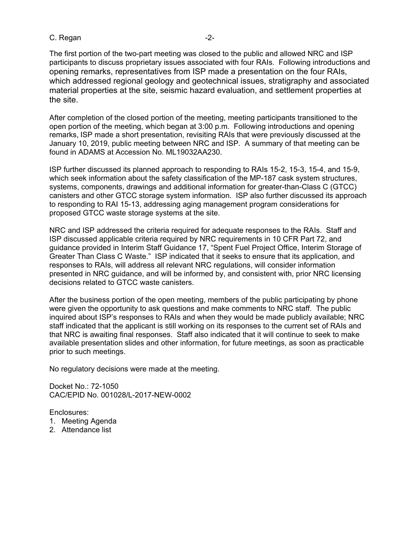#### C. Regan -2-

The first portion of the two-part meeting was closed to the public and allowed NRC and ISP participants to discuss proprietary issues associated with four RAIs. Following introductions and opening remarks, representatives from ISP made a presentation on the four RAIs, which addressed regional geology and geotechnical issues, stratigraphy and associated material properties at the site, seismic hazard evaluation, and settlement properties at the site.

After completion of the closed portion of the meeting, meeting participants transitioned to the open portion of the meeting, which began at 3:00 p.m. Following introductions and opening remarks, ISP made a short presentation, revisiting RAIs that were previously discussed at the January 10, 2019, public meeting between NRC and ISP. A summary of that meeting can be found in ADAMS at Accession No. ML19032AA230.

ISP further discussed its planned approach to responding to RAIs 15-2, 15-3, 15-4, and 15-9, which seek information about the safety classification of the MP-187 cask system structures, systems, components, drawings and additional information for greater-than-Class C (GTCC) canisters and other GTCC storage system information. ISP also further discussed its approach to responding to RAI 15-13, addressing aging management program considerations for proposed GTCC waste storage systems at the site.

NRC and ISP addressed the criteria required for adequate responses to the RAIs. Staff and ISP discussed applicable criteria required by NRC requirements in 10 CFR Part 72, and guidance provided in Interim Staff Guidance 17, "Spent Fuel Project Office, Interim Storage of Greater Than Class C Waste." ISP indicated that it seeks to ensure that its application, and responses to RAIs, will address all relevant NRC regulations, will consider information presented in NRC guidance, and will be informed by, and consistent with, prior NRC licensing decisions related to GTCC waste canisters.

After the business portion of the open meeting, members of the public participating by phone were given the opportunity to ask questions and make comments to NRC staff. The public inquired about ISP's responses to RAIs and when they would be made publicly available; NRC staff indicated that the applicant is still working on its responses to the current set of RAIs and that NRC is awaiting final responses. Staff also indicated that it will continue to seek to make available presentation slides and other information, for future meetings, as soon as practicable prior to such meetings.

No regulatory decisions were made at the meeting.

Docket No.: 72-1050 CAC/EPID No. 001028/L-2017-NEW-0002

Enclosures:

- 1. Meeting Agenda
- 2. Attendance list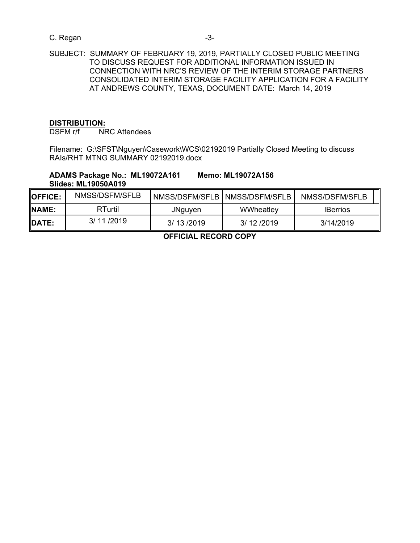## C. Regan -3-

# **DISTRIBUTION:**

DSFM r/f NRC Attendees

Filename: G:\SFST\Nguyen\Casework\WCS\02192019 Partially Closed Meeting to discuss RAIs/RHT MTNG SUMMARY 02192019.docx

## **ADAMS Package No.: ML19072A161 Memo: ML19072A156 Slides: ML19050A019**

| <b>IOFFICE:</b> | NMSS/DSFM/SFLB |           | NMSS/DSFM/SFLB   NMSS/DSFM/SFLB | NMSS/DSFM/SFLB  |
|-----------------|----------------|-----------|---------------------------------|-----------------|
| <b>NAME:</b>    | RTurtil        | JNguyen   | WWheatley                       | <b>IBerrios</b> |
| <b>IDATE:</b>   | 3/11/2019      | 3/13/2019 | 3/ 12 / 2019                    | 3/14/2019       |

**OFFICIAL RECORD COPY**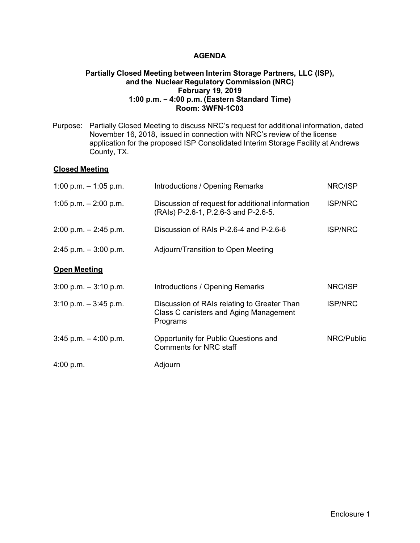### **AGENDA**

### **Partially Closed Meeting between Interim Storage Partners, LLC (ISP), and the Nuclear Regulatory Commission (NRC) February 19, 2019 1:00 p.m. – 4:00 p.m. (Eastern Standard Time) Room: 3WFN-1C03**

Purpose: Partially Closed Meeting to discuss NRC's request for additional information, dated November 16, 2018, issued in connection with NRC's review of the license application for the proposed ISP Consolidated Interim Storage Facility at Andrews County, TX.

### **Closed Meeting**

| 1:00 p.m. $-$ 1:05 p.m.  | Introductions / Opening Remarks                                                                   | NRC/ISP        |
|--------------------------|---------------------------------------------------------------------------------------------------|----------------|
| 1:05 p.m. $-$ 2:00 p.m.  | Discussion of request for additional information<br>(RAIs) P-2.6-1, P.2.6-3 and P-2.6-5.          | <b>ISP/NRC</b> |
| $2:00$ p.m. $-2:45$ p.m. | Discussion of RAIs P-2.6-4 and P-2.6-6                                                            | <b>ISP/NRC</b> |
| $2:45$ p.m. $-3:00$ p.m. | Adjourn/Transition to Open Meeting                                                                |                |
| <b>Open Meeting</b>      |                                                                                                   |                |
| $3:00$ p.m. $-3:10$ p.m. | Introductions / Opening Remarks                                                                   | NRC/ISP        |
| $3:10$ p.m. $-3:45$ p.m. | Discussion of RAIs relating to Greater Than<br>Class C canisters and Aging Management<br>Programs | <b>ISP/NRC</b> |
| $3:45$ p.m. $-4:00$ p.m. | Opportunity for Public Questions and<br><b>Comments for NRC staff</b>                             | NRC/Public     |
| 4:00 p.m.                | Adjourn                                                                                           |                |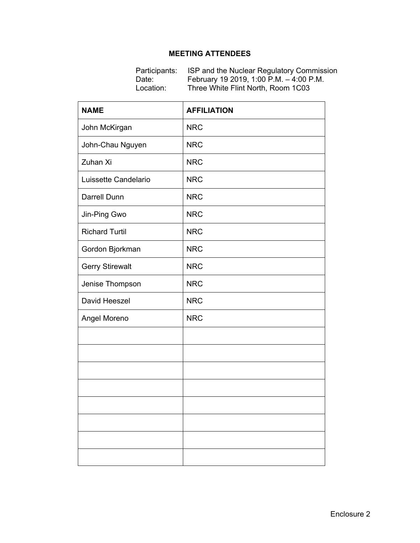## **MEETING ATTENDEES**

Participants: ISP and the Nuclear Regulatory Commission Date: February 19 2019, 1:00 P.M. – 4:00 P.M. Location: Three White Flint North, Room 1C03

| <b>NAME</b>            | <b>AFFILIATION</b> |
|------------------------|--------------------|
| John McKirgan          | <b>NRC</b>         |
| John-Chau Nguyen       | <b>NRC</b>         |
| Zuhan Xi               | <b>NRC</b>         |
| Luissette Candelario   | <b>NRC</b>         |
| Darrell Dunn           | <b>NRC</b>         |
| Jin-Ping Gwo           | <b>NRC</b>         |
| <b>Richard Turtil</b>  | <b>NRC</b>         |
| Gordon Bjorkman        | <b>NRC</b>         |
| <b>Gerry Stirewalt</b> | <b>NRC</b>         |
| Jenise Thompson        | <b>NRC</b>         |
| David Heeszel          | <b>NRC</b>         |
| Angel Moreno           | <b>NRC</b>         |
|                        |                    |
|                        |                    |
|                        |                    |
|                        |                    |
|                        |                    |
|                        |                    |
|                        |                    |
|                        |                    |